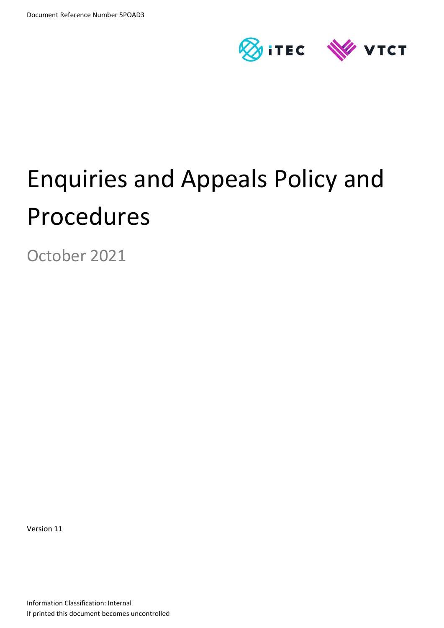

# Enquiries and Appeals Policy and Procedures

October 2021

Version 11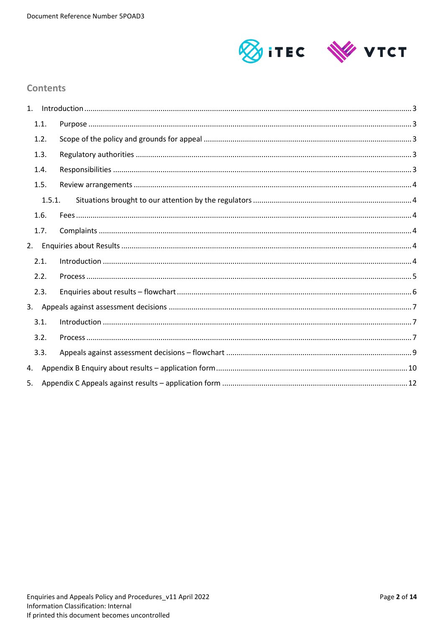

## **Contents**

| 1 <sup>1</sup> |        |  |
|----------------|--------|--|
|                | 1.1.   |  |
|                | 1.2.   |  |
|                | 1.3.   |  |
|                | 1.4.   |  |
|                | 1.5.   |  |
|                | 1.5.1. |  |
|                | 1.6.   |  |
|                | 1.7.   |  |
| 2.             |        |  |
|                | 2.1.   |  |
|                | 2.2.   |  |
|                | 2.3.   |  |
|                |        |  |
|                | 3.1.   |  |
|                | 3.2.   |  |
|                | 3.3.   |  |
| 4.             |        |  |
| 5.             |        |  |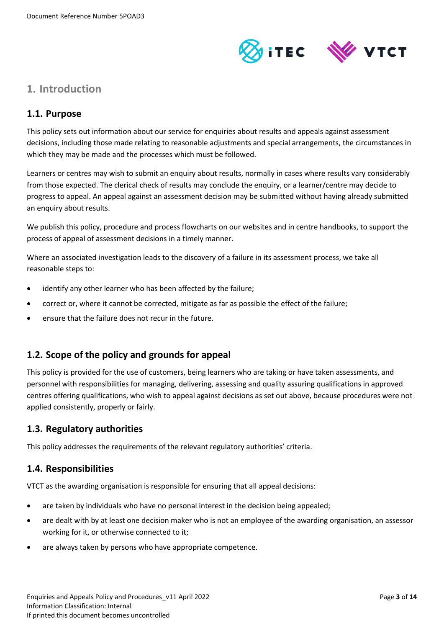

# <span id="page-2-0"></span>**1. Introduction**

# <span id="page-2-1"></span>**1.1. Purpose**

This policy sets out information about our service for enquiries about results and appeals against assessment decisions, including those made relating to reasonable adjustments and special arrangements, the circumstances in which they may be made and the processes which must be followed.

Learners or centres may wish to submit an enquiry about results, normally in cases where results vary considerably from those expected. The clerical check of results may conclude the enquiry, or a learner/centre may decide to progress to appeal. An appeal against an assessment decision may be submitted without having already submitted an enquiry about results.

We publish this policy, procedure and process flowcharts on our websites and in centre handbooks, to support the process of appeal of assessment decisions in a timely manner.

Where an associated investigation leads to the discovery of a failure in its assessment process, we take all reasonable steps to:

- identify any other learner who has been affected by the failure;
- correct or, where it cannot be corrected, mitigate as far as possible the effect of the failure;
- ensure that the failure does not recur in the future.

# <span id="page-2-2"></span>**1.2. Scope of the policy and grounds for appeal**

This policy is provided for the use of customers, being learners who are taking or have taken assessments, and personnel with responsibilities for managing, delivering, assessing and quality assuring qualifications in approved centres offering qualifications, who wish to appeal against decisions as set out above, because procedures were not applied consistently, properly or fairly.

## <span id="page-2-3"></span>**1.3. Regulatory authorities**

This policy addresses the requirements of the relevant regulatory authorities' criteria.

## <span id="page-2-4"></span>**1.4. Responsibilities**

VTCT as the awarding organisation is responsible for ensuring that all appeal decisions:

- are taken by individuals who have no personal interest in the decision being appealed;
- are dealt with by at least one decision maker who is not an employee of the awarding organisation, an assessor working for it, or otherwise connected to it;
- are always taken by persons who have appropriate competence.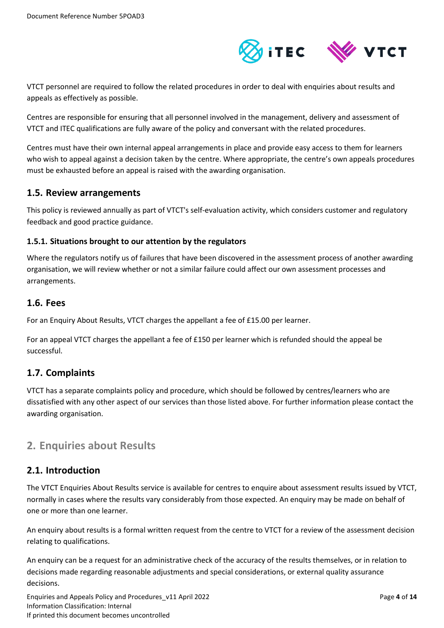

VTCT personnel are required to follow the related procedures in order to deal with enquiries about results and appeals as effectively as possible.

Centres are responsible for ensuring that all personnel involved in the management, delivery and assessment of VTCT and ITEC qualifications are fully aware of the policy and conversant with the related procedures.

Centres must have their own internal appeal arrangements in place and provide easy access to them for learners who wish to appeal against a decision taken by the centre. Where appropriate, the centre's own appeals procedures must be exhausted before an appeal is raised with the awarding organisation.

## <span id="page-3-0"></span>**1.5. Review arrangements**

This policy is reviewed annually as part of VTCT's self-evaluation activity, which considers customer and regulatory feedback and good practice guidance.

## <span id="page-3-1"></span>**1.5.1. Situations brought to our attention by the regulators**

Where the regulators notify us of failures that have been discovered in the assessment process of another awarding organisation, we will review whether or not a similar failure could affect our own assessment processes and arrangements.

## <span id="page-3-2"></span>**1.6. Fees**

For an Enquiry About Results, VTCT charges the appellant a fee of £15.00 per learner.

For an appeal VTCT charges the appellant a fee of £150 per learner which is refunded should the appeal be successful.

# <span id="page-3-3"></span>**1.7. Complaints**

VTCT has a separate complaints policy and procedure, which should be followed by centres/learners who are dissatisfied with any other aspect of our services than those listed above. For further information please contact the awarding organisation.

# <span id="page-3-4"></span>**2. Enquiries about Results**

# <span id="page-3-5"></span>**2.1. Introduction**

The VTCT Enquiries About Results service is available for centres to enquire about assessment results issued by VTCT, normally in cases where the results vary considerably from those expected. An enquiry may be made on behalf of one or more than one learner.

An enquiry about results is a formal written request from the centre to VTCT for a review of the assessment decision relating to qualifications.

An enquiry can be a request for an administrative check of the accuracy of the results themselves, or in relation to decisions made regarding reasonable adjustments and special considerations, or external quality assurance decisions.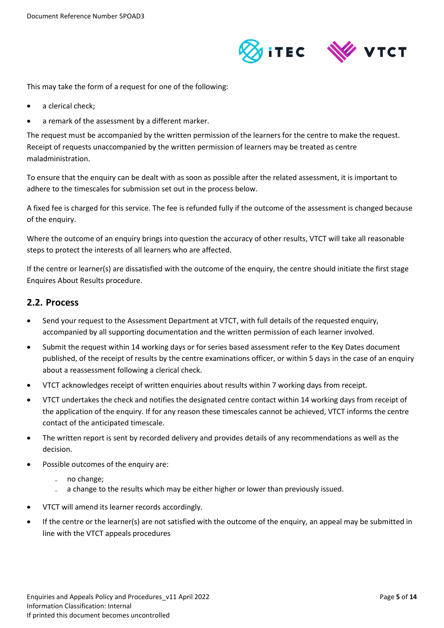

This may take the form of a request for one of the following:

- a clerical check;
- a remark of the assessment by a different marker.

The request must be accompanied by the written permission of the learners for the centre to make the request. Receipt of requests unaccompanied by the written permission of learners may be treated as centre maladministration.

To ensure that the enquiry can be dealt with as soon as possible after the related assessment, it is important to adhere to the timescales for submission set out in the process below.

A fixed fee is charged for this service. The fee is refunded fully if the outcome of the assessment is changed because of the enquiry.

Where the outcome of an enquiry brings into question the accuracy of other results, VTCT will take all reasonable steps to protect the interests of all learners who are affected.

If the centre or learner(s) are dissatisfied with the outcome of the enquiry, the centre should initiate the first stage Enquires About Results procedure.

## <span id="page-4-0"></span>**2.2. Process**

- Send your request to the Assessment Department at VTCT, with full details of the requested enquiry, accompanied by all supporting documentation and the written permission of each learner involved.
- Submit the request within 14 working days or for series based assessment refer to the Key Dates document published, of the receipt of results by the centre examinations officer, or within 5 days in the case of an enquiry about a reassessment following a clerical check.
- VTCT acknowledges receipt of written enquiries about results within 7 working days from receipt.
- VTCT undertakes the check and notifies the designated centre contact within 14 working days from receipt of the application of the enquiry. If for any reason these timescales cannot be achieved, VTCT informs the centre contact of the anticipated timescale.
- The written report is sent by recorded delivery and provides details of any recommendations as well as the decision.
- Possible outcomes of the enquiry are:
	- ̵ no change;
	- a change to the results which may be either higher or lower than previously issued.
- VTCT will amend its learner records accordingly.
- If the centre or the learner(s) are not satisfied with the outcome of the enquiry, an appeal may be submitted in line with the VTCT appeals procedures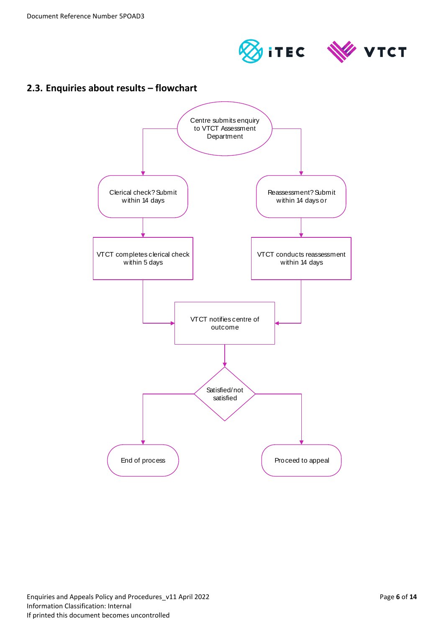



# <span id="page-5-0"></span>**2.3. Enquiries about results – flowchart**

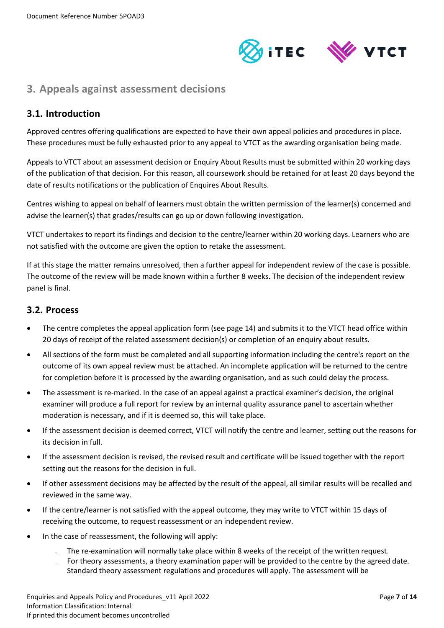

# <span id="page-6-0"></span>**3. Appeals against assessment decisions**

# <span id="page-6-1"></span>**3.1. Introduction**

Approved centres offering qualifications are expected to have their own appeal policies and procedures in place. These procedures must be fully exhausted prior to any appeal to VTCT as the awarding organisation being made.

Appeals to VTCT about an assessment decision or Enquiry About Results must be submitted within 20 working days of the publication of that decision. For this reason, all coursework should be retained for at least 20 days beyond the date of results notifications or the publication of Enquires About Results.

Centres wishing to appeal on behalf of learners must obtain the written permission of the learner(s) concerned and advise the learner(s) that grades/results can go up or down following investigation.

VTCT undertakes to report its findings and decision to the centre/learner within 20 working days. Learners who are not satisfied with the outcome are given the option to retake the assessment.

If at this stage the matter remains unresolved, then a further appeal for independent review of the case is possible. The outcome of the review will be made known within a further 8 weeks. The decision of the independent review panel is final.

## <span id="page-6-2"></span>**3.2. Process**

- The centre completes the appeal application form (see page 14) and submits it to the VTCT head office within 20 days of receipt of the related assessment decision(s) or completion of an enquiry about results.
- All sections of the form must be completed and all supporting information including the centre's report on the outcome of its own appeal review must be attached. An incomplete application will be returned to the centre for completion before it is processed by the awarding organisation, and as such could delay the process.
- The assessment is re-marked. In the case of an appeal against a practical examiner's decision, the original examiner will produce a full report for review by an internal quality assurance panel to ascertain whether moderation is necessary, and if it is deemed so, this will take place.
- If the assessment decision is deemed correct, VTCT will notify the centre and learner, setting out the reasons for its decision in full.
- If the assessment decision is revised, the revised result and certificate will be issued together with the report setting out the reasons for the decision in full.
- If other assessment decisions may be affected by the result of the appeal, all similar results will be recalled and reviewed in the same way.
- If the centre/learner is not satisfied with the appeal outcome, they may write to VTCT within 15 days of receiving the outcome, to request reassessment or an independent review.
- In the case of reassessment, the following will apply:
	- The re-examination will normally take place within 8 weeks of the receipt of the written request.
	- For theory assessments, a theory examination paper will be provided to the centre by the agreed date. Standard theory assessment regulations and procedures will apply. The assessment will be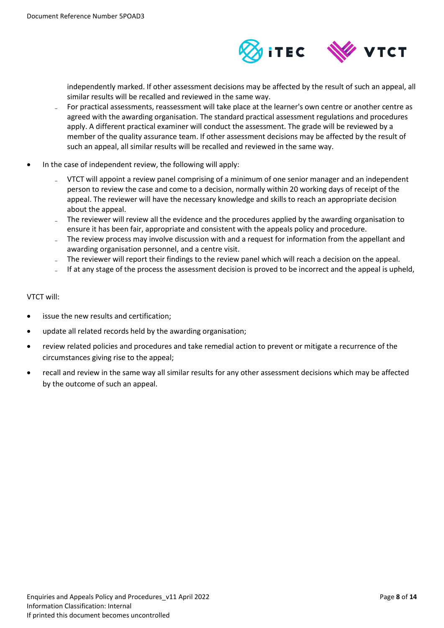

independently marked. If other assessment decisions may be affected by the result of such an appeal, all similar results will be recalled and reviewed in the same way.

- For practical assessments, reassessment will take place at the learner's own centre or another centre as agreed with the awarding organisation. The standard practical assessment regulations and procedures apply. A different practical examiner will conduct the assessment. The grade will be reviewed by a member of the quality assurance team. If other assessment decisions may be affected by the result of such an appeal, all similar results will be recalled and reviewed in the same way.
- In the case of independent review, the following will apply:
	- VTCT will appoint a review panel comprising of a minimum of one senior manager and an independent person to review the case and come to a decision, normally within 20 working days of receipt of the appeal. The reviewer will have the necessary knowledge and skills to reach an appropriate decision about the appeal.
	- The reviewer will review all the evidence and the procedures applied by the awarding organisation to ensure it has been fair, appropriate and consistent with the appeals policy and procedure.
	- The review process may involve discussion with and a request for information from the appellant and awarding organisation personnel, and a centre visit.
	- The reviewer will report their findings to the review panel which will reach a decision on the appeal.
	- If at any stage of the process the assessment decision is proved to be incorrect and the appeal is upheld,

#### VTCT will:

- issue the new results and certification;
- update all related records held by the awarding organisation;
- review related policies and procedures and take remedial action to prevent or mitigate a recurrence of the circumstances giving rise to the appeal;
- recall and review in the same way all similar results for any other assessment decisions which may be affected by the outcome of such an appeal.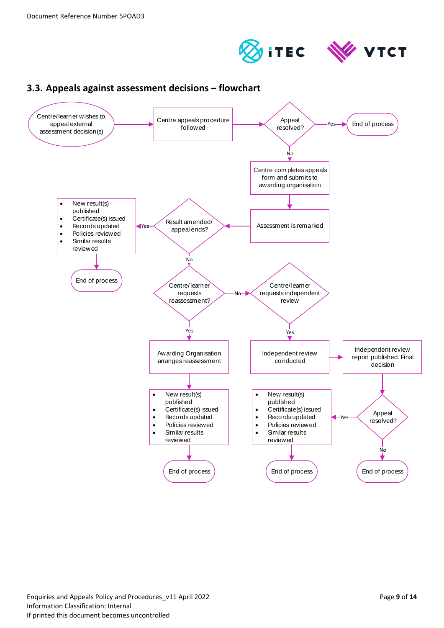



<span id="page-8-0"></span>

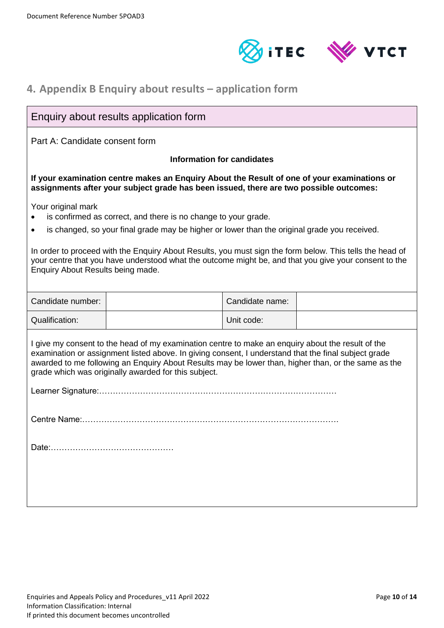



# <span id="page-9-0"></span>**4. Appendix B Enquiry about results – application form**

# Enquiry about results application form

Part A: Candidate consent form

#### **Information for candidates**

**If your examination centre makes an Enquiry About the Result of one of your examinations or assignments after your subject grade has been issued, there are two possible outcomes:** 

Your original mark

- is confirmed as correct, and there is no change to your grade.
- is changed, so your final grade may be higher or lower than the original grade you received.

In order to proceed with the Enquiry About Results, you must sign the form below. This tells the head of your centre that you have understood what the outcome might be, and that you give your consent to the Enquiry About Results being made.

| Candidate number: | Candidate name: |  |
|-------------------|-----------------|--|
| Qualification:    | Unit code:      |  |

I give my consent to the head of my examination centre to make an enquiry about the result of the examination or assignment listed above. In giving consent, I understand that the final subject grade awarded to me following an Enquiry About Results may be lower than, higher than, or the same as the grade which was originally awarded for this subject.

Learner Signature:……………………………………………………………………………

Centre Name:………………………………………………………………………………….

Date:………………………………………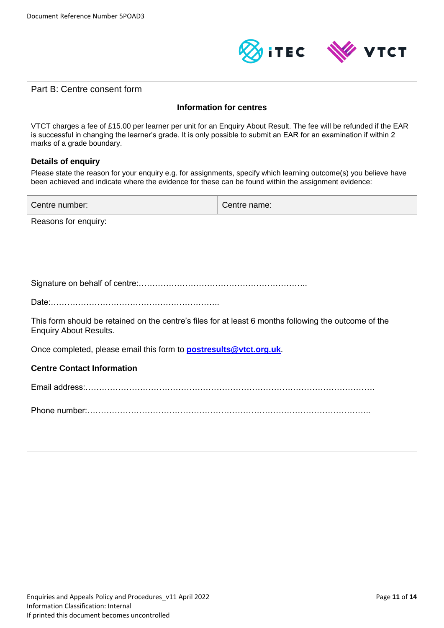

| Part B: Centre consent form                                                                                                                                                                                                                                            |              |  |
|------------------------------------------------------------------------------------------------------------------------------------------------------------------------------------------------------------------------------------------------------------------------|--------------|--|
| <b>Information for centres</b>                                                                                                                                                                                                                                         |              |  |
| VTCT charges a fee of £15.00 per learner per unit for an Enquiry About Result. The fee will be refunded if the EAR<br>is successful in changing the learner's grade. It is only possible to submit an EAR for an examination if within 2<br>marks of a grade boundary. |              |  |
| <b>Details of enquiry</b>                                                                                                                                                                                                                                              |              |  |
| Please state the reason for your enquiry e.g. for assignments, specify which learning outcome(s) you believe have<br>been achieved and indicate where the evidence for these can be found within the assignment evidence:                                              |              |  |
| Centre number:                                                                                                                                                                                                                                                         | Centre name: |  |
| Reasons for enquiry:                                                                                                                                                                                                                                                   |              |  |
|                                                                                                                                                                                                                                                                        |              |  |
|                                                                                                                                                                                                                                                                        |              |  |
|                                                                                                                                                                                                                                                                        |              |  |
|                                                                                                                                                                                                                                                                        |              |  |
| This form should be retained on the centre's files for at least 6 months following the outcome of the<br><b>Enquiry About Results.</b>                                                                                                                                 |              |  |
| Once completed, please email this form to <b>postresults@vtct.org.uk</b> .                                                                                                                                                                                             |              |  |
| <b>Centre Contact Information</b>                                                                                                                                                                                                                                      |              |  |
|                                                                                                                                                                                                                                                                        |              |  |
|                                                                                                                                                                                                                                                                        |              |  |
|                                                                                                                                                                                                                                                                        |              |  |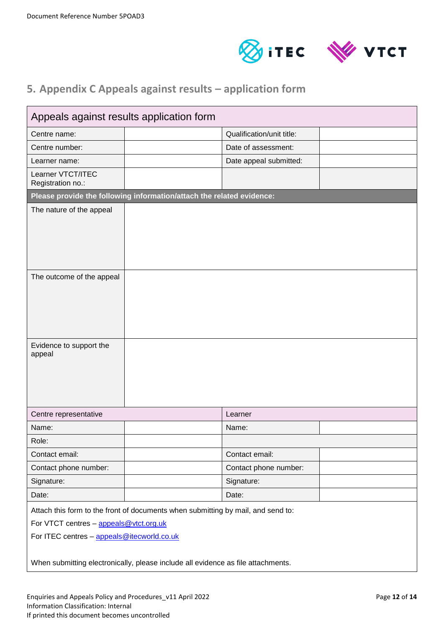



# <span id="page-11-0"></span>**5. Appendix C Appeals against results – application form**

| Appeals against results application form                                                                                                                                 |                                                                       |                           |  |
|--------------------------------------------------------------------------------------------------------------------------------------------------------------------------|-----------------------------------------------------------------------|---------------------------|--|
| Centre name:                                                                                                                                                             |                                                                       | Qualification/unit title: |  |
| Centre number:                                                                                                                                                           |                                                                       | Date of assessment:       |  |
| Learner name:                                                                                                                                                            |                                                                       | Date appeal submitted:    |  |
| Learner VTCT/ITEC<br>Registration no.:                                                                                                                                   |                                                                       |                           |  |
|                                                                                                                                                                          | Please provide the following information/attach the related evidence: |                           |  |
| The nature of the appeal                                                                                                                                                 |                                                                       |                           |  |
| The outcome of the appeal                                                                                                                                                |                                                                       |                           |  |
| Evidence to support the<br>appeal                                                                                                                                        |                                                                       |                           |  |
| Centre representative                                                                                                                                                    | Learner                                                               |                           |  |
| Name:                                                                                                                                                                    | Name:                                                                 |                           |  |
| Role:                                                                                                                                                                    |                                                                       |                           |  |
| Contact email:                                                                                                                                                           |                                                                       | Contact email:            |  |
| Contact phone number:                                                                                                                                                    |                                                                       | Contact phone number:     |  |
| Signature:                                                                                                                                                               | Signature:                                                            |                           |  |
| Date:                                                                                                                                                                    | Date:                                                                 |                           |  |
| Attach this form to the front of documents when submitting by mail, and send to:<br>For VTCT centres - appeals@vtct.org.uk<br>For ITEC centres - appeals@itecworld.co.uk |                                                                       |                           |  |
| When submitting electronically, please include all evidence as file attachments.                                                                                         |                                                                       |                           |  |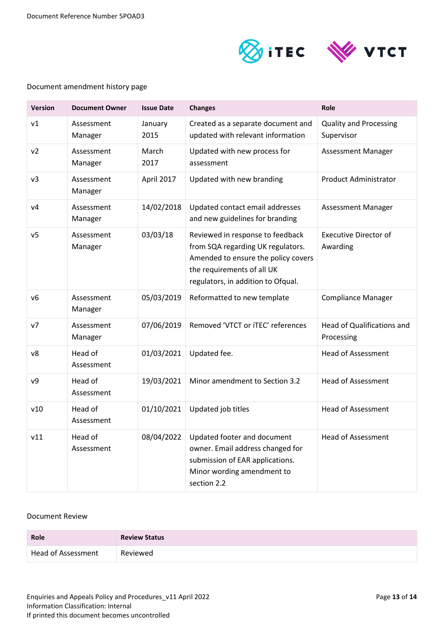

#### Document amendment history page

| <b>Version</b> | <b>Document Owner</b> | <b>Issue Date</b> | <b>Changes</b>                                                                                                                                                                   | Role                                        |
|----------------|-----------------------|-------------------|----------------------------------------------------------------------------------------------------------------------------------------------------------------------------------|---------------------------------------------|
| v1             | Assessment<br>Manager | January<br>2015   | Created as a separate document and<br>updated with relevant information                                                                                                          | <b>Quality and Processing</b><br>Supervisor |
| v <sub>2</sub> | Assessment<br>Manager | March<br>2017     | Updated with new process for<br>assessment                                                                                                                                       | <b>Assessment Manager</b>                   |
| v3             | Assessment<br>Manager | April 2017        | Updated with new branding                                                                                                                                                        | <b>Product Administrator</b>                |
| V <sub>4</sub> | Assessment<br>Manager | 14/02/2018        | Updated contact email addresses<br>and new guidelines for branding                                                                                                               | Assessment Manager                          |
| v <sub>5</sub> | Assessment<br>Manager | 03/03/18          | Reviewed in response to feedback<br>from SQA regarding UK regulators.<br>Amended to ensure the policy covers<br>the requirements of all UK<br>regulators, in addition to Ofqual. | <b>Executive Director of</b><br>Awarding    |
| v6             | Assessment<br>Manager | 05/03/2019        | Reformatted to new template                                                                                                                                                      | <b>Compliance Manager</b>                   |
| v7             | Assessment<br>Manager | 07/06/2019        | Removed 'VTCT or iTEC' references                                                                                                                                                | Head of Qualifications and<br>Processing    |
| v8             | Head of<br>Assessment | 01/03/2021        | Updated fee.                                                                                                                                                                     | <b>Head of Assessment</b>                   |
| ν9             | Head of<br>Assessment | 19/03/2021        | Minor amendment to Section 3.2                                                                                                                                                   | <b>Head of Assessment</b>                   |
| v10            | Head of<br>Assessment | 01/10/2021        | Updated job titles                                                                                                                                                               | <b>Head of Assessment</b>                   |
| v11            | Head of<br>Assessment | 08/04/2022        | Updated footer and document<br>owner. Email address changed for<br>submission of EAR applications.<br>Minor wording amendment to<br>section 2.2                                  | Head of Assessment                          |

#### Document Review

| <b>Role</b>        | <b>Review Status</b> |
|--------------------|----------------------|
| Head of Assessment | Reviewed             |

Enquiries and Appeals Policy and Procedures\_v11 April 2022 **Page 13 of 14** Page 13 of 14 Information Classification: Internal If printed this document becomes uncontrolled